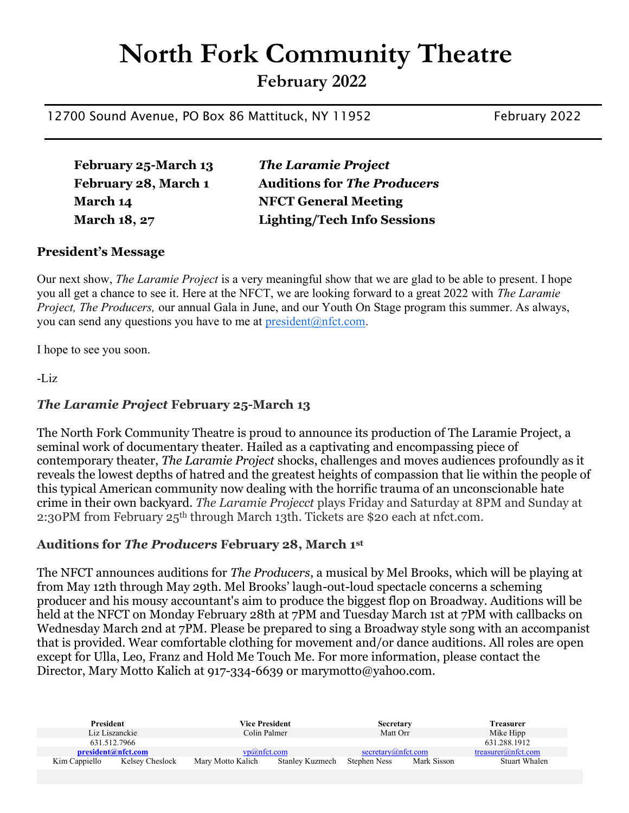# North Fork Community Theatre

February 2022

12700 Sound Avenue, PO Box 86 Mattituck, NY 11952 February 2022

February 25-March 13 The Laramie Project February 28, March 1 Auditions for The Producers March 14 NFCT General Meeting March 18, 27 Lighting/Tech Info Sessions

## President's Message

Our next show, *The Laramie Project* is a very meaningful show that we are glad to be able to present. I hope you all get a chance to see it. Here at the NFCT, we are looking forward to a great 2022 with The Laramie Project, The Producers, our annual Gala in June, and our Youth On Stage program this summer. As always, you can send any questions you have to me at  $president(\widehat{a})nftct.com$ .

I hope to see you soon.

-Liz

## The Laramie Project February 25-March 13

The North Fork Community Theatre is proud to announce its production of The Laramie Project, a seminal work of documentary theater. Hailed as a captivating and encompassing piece of contemporary theater, The Laramie Project shocks, challenges and moves audiences profoundly as it reveals the lowest depths of hatred and the greatest heights of compassion that lie within the people of this typical American community now dealing with the horrific trauma of an unconscionable hate crime in their own backyard. The Laramie Projecct plays Friday and Saturday at 8PM and Sunday at 2:30PM from February 25th through March 13th. Tickets are \$20 each at nfct.com.

## Auditions for The Producers February 28, March 1st

The NFCT announces auditions for *The Producers*, a musical by Mel Brooks, which will be playing at from May 12th through May 29th. Mel Brooks' laugh-out-loud spectacle concerns a scheming producer and his mousy accountant's aim to produce the biggest flop on Broadway. Auditions will be held at the NFCT on Monday February 28th at 7PM and Tuesday March 1st at 7PM with callbacks on Wednesday March 2nd at 7PM. Please be prepared to sing a Broadway style song with an accompanist that is provided. Wear comfortable clothing for movement and/or dance auditions. All roles are open except for Ulla, Leo, Franz and Hold Me Touch Me. For more information, please contact the Director, Mary Motto Kalich at 917-334-6639 or marymotto@yahoo.com.

| <b>President</b>                 | Vice President    |                 | <b>Secretary</b>            | Treasurer          |
|----------------------------------|-------------------|-----------------|-----------------------------|--------------------|
| Liz Liszanckie                   | Colin Palmer      |                 | Matt Orr                    | Mike Hipp          |
| 631.512.7966                     |                   |                 |                             | 631.288.1912       |
| president@nfct.com               | vp@nft.com        |                 | secretary@nft.com           | treasurer@nfct.com |
| Kelsey Cheslock<br>Kim Cappiello | Mary Motto Kalich | Stanley Kuzmech | Mark Sisson<br>Stephen Ness | Stuart Whalen      |